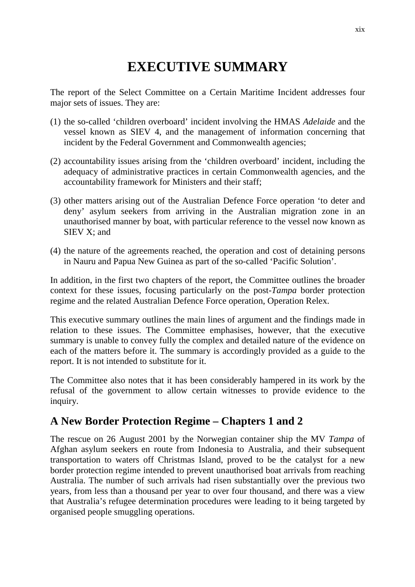# **EXECUTIVE SUMMARY**

The report of the Select Committee on a Certain Maritime Incident addresses four major sets of issues. They are:

- (1) the so-called 'children overboard' incident involving the HMAS *Adelaide* and the vessel known as SIEV 4, and the management of information concerning that incident by the Federal Government and Commonwealth agencies;
- (2) accountability issues arising from the 'children overboard' incident, including the adequacy of administrative practices in certain Commonwealth agencies, and the accountability framework for Ministers and their staff;
- (3) other matters arising out of the Australian Defence Force operation 'to deter and deny' asylum seekers from arriving in the Australian migration zone in an unauthorised manner by boat, with particular reference to the vessel now known as SIEV X; and
- (4) the nature of the agreements reached, the operation and cost of detaining persons in Nauru and Papua New Guinea as part of the so-called 'Pacific Solution'.

In addition, in the first two chapters of the report, the Committee outlines the broader context for these issues, focusing particularly on the post-*Tampa* border protection regime and the related Australian Defence Force operation, Operation Relex.

This executive summary outlines the main lines of argument and the findings made in relation to these issues. The Committee emphasises, however, that the executive summary is unable to convey fully the complex and detailed nature of the evidence on each of the matters before it. The summary is accordingly provided as a guide to the report. It is not intended to substitute for it.

The Committee also notes that it has been considerably hampered in its work by the refusal of the government to allow certain witnesses to provide evidence to the inquiry.

### **A New Border Protection Regime – Chapters 1 and 2**

The rescue on 26 August 2001 by the Norwegian container ship the MV *Tampa* of Afghan asylum seekers en route from Indonesia to Australia, and their subsequent transportation to waters off Christmas Island, proved to be the catalyst for a new border protection regime intended to prevent unauthorised boat arrivals from reaching Australia. The number of such arrivals had risen substantially over the previous two years, from less than a thousand per year to over four thousand, and there was a view that Australia's refugee determination procedures were leading to it being targeted by organised people smuggling operations.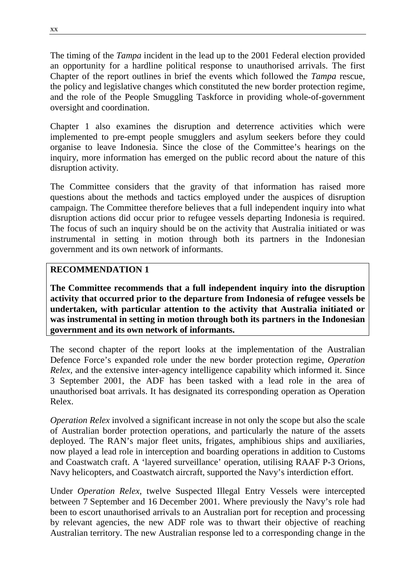The timing of the *Tampa* incident in the lead up to the 2001 Federal election provided an opportunity for a hardline political response to unauthorised arrivals. The first Chapter of the report outlines in brief the events which followed the *Tampa* rescue, the policy and legislative changes which constituted the new border protection regime, and the role of the People Smuggling Taskforce in providing whole-of-government oversight and coordination.

Chapter 1 also examines the disruption and deterrence activities which were implemented to pre-empt people smugglers and asylum seekers before they could organise to leave Indonesia. Since the close of the Committee's hearings on the inquiry, more information has emerged on the public record about the nature of this disruption activity.

The Committee considers that the gravity of that information has raised more questions about the methods and tactics employed under the auspices of disruption campaign. The Committee therefore believes that a full independent inquiry into what disruption actions did occur prior to refugee vessels departing Indonesia is required. The focus of such an inquiry should be on the activity that Australia initiated or was instrumental in setting in motion through both its partners in the Indonesian government and its own network of informants.

#### **RECOMMENDATION 1**

**The Committee recommends that a full independent inquiry into the disruption activity that occurred prior to the departure from Indonesia of refugee vessels be undertaken, with particular attention to the activity that Australia initiated or was instrumental in setting in motion through both its partners in the Indonesian government and its own network of informants.**

The second chapter of the report looks at the implementation of the Australian Defence Force's expanded role under the new border protection regime, *Operation Relex,* and the extensive inter-agency intelligence capability which informed it. Since 3 September 2001, the ADF has been tasked with a lead role in the area of unauthorised boat arrivals. It has designated its corresponding operation as Operation Relex.

*Operation Relex* involved a significant increase in not only the scope but also the scale of Australian border protection operations, and particularly the nature of the assets deployed. The RAN's major fleet units, frigates, amphibious ships and auxiliaries, now played a lead role in interception and boarding operations in addition to Customs and Coastwatch craft. A 'layered surveillance' operation, utilising RAAF P-3 Orions, Navy helicopters, and Coastwatch aircraft, supported the Navy's interdiction effort.

Under *Operation Relex*, twelve Suspected Illegal Entry Vessels were intercepted between 7 September and 16 December 2001. Where previously the Navy's role had been to escort unauthorised arrivals to an Australian port for reception and processing by relevant agencies, the new ADF role was to thwart their objective of reaching Australian territory. The new Australian response led to a corresponding change in the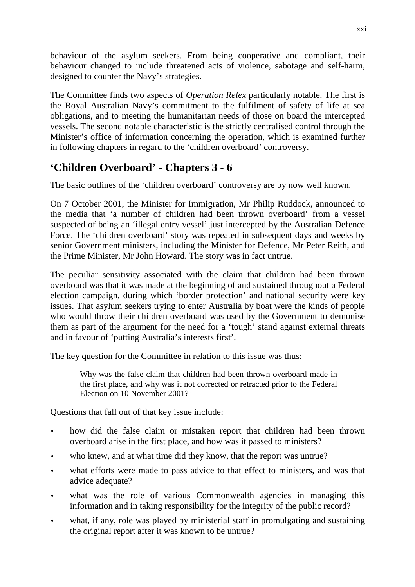behaviour of the asylum seekers. From being cooperative and compliant, their behaviour changed to include threatened acts of violence, sabotage and self-harm, designed to counter the Navy's strategies.

The Committee finds two aspects of *Operation Relex* particularly notable. The first is the Royal Australian Navy's commitment to the fulfilment of safety of life at sea obligations, and to meeting the humanitarian needs of those on board the intercepted vessels. The second notable characteristic is the strictly centralised control through the Minister's office of information concerning the operation, which is examined further in following chapters in regard to the 'children overboard' controversy.

## **'Children Overboard' - Chapters 3 - 6**

The basic outlines of the 'children overboard' controversy are by now well known.

On 7 October 2001, the Minister for Immigration, Mr Philip Ruddock, announced to the media that 'a number of children had been thrown overboard' from a vessel suspected of being an 'illegal entry vessel' just intercepted by the Australian Defence Force. The 'children overboard' story was repeated in subsequent days and weeks by senior Government ministers, including the Minister for Defence, Mr Peter Reith, and the Prime Minister, Mr John Howard. The story was in fact untrue.

The peculiar sensitivity associated with the claim that children had been thrown overboard was that it was made at the beginning of and sustained throughout a Federal election campaign, during which 'border protection' and national security were key issues. That asylum seekers trying to enter Australia by boat were the kinds of people who would throw their children overboard was used by the Government to demonise them as part of the argument for the need for a 'tough' stand against external threats and in favour of 'putting Australia's interests first'.

The key question for the Committee in relation to this issue was thus:

Why was the false claim that children had been thrown overboard made in the first place, and why was it not corrected or retracted prior to the Federal Election on 10 November 2001?

Questions that fall out of that key issue include:

- how did the false claim or mistaken report that children had been thrown overboard arise in the first place, and how was it passed to ministers?
- who knew, and at what time did they know, that the report was untrue?
- what efforts were made to pass advice to that effect to ministers, and was that advice adequate?
- what was the role of various Commonwealth agencies in managing this information and in taking responsibility for the integrity of the public record?
- what, if any, role was played by ministerial staff in promulgating and sustaining the original report after it was known to be untrue?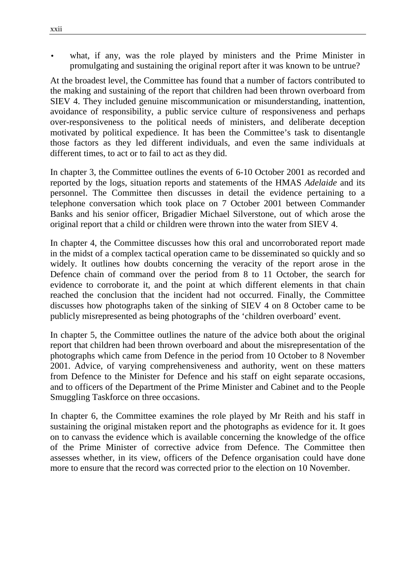what, if any, was the role played by ministers and the Prime Minister in promulgating and sustaining the original report after it was known to be untrue?

At the broadest level, the Committee has found that a number of factors contributed to the making and sustaining of the report that children had been thrown overboard from SIEV 4. They included genuine miscommunication or misunderstanding, inattention, avoidance of responsibility, a public service culture of responsiveness and perhaps over-responsiveness to the political needs of ministers, and deliberate deception motivated by political expedience. It has been the Committee's task to disentangle those factors as they led different individuals, and even the same individuals at different times, to act or to fail to act as they did.

In chapter 3, the Committee outlines the events of 6-10 October 2001 as recorded and reported by the logs, situation reports and statements of the HMAS *Adelaide* and its personnel. The Committee then discusses in detail the evidence pertaining to a telephone conversation which took place on 7 October 2001 between Commander Banks and his senior officer, Brigadier Michael Silverstone, out of which arose the original report that a child or children were thrown into the water from SIEV 4.

In chapter 4, the Committee discusses how this oral and uncorroborated report made in the midst of a complex tactical operation came to be disseminated so quickly and so widely. It outlines how doubts concerning the veracity of the report arose in the Defence chain of command over the period from 8 to 11 October, the search for evidence to corroborate it, and the point at which different elements in that chain reached the conclusion that the incident had not occurred. Finally, the Committee discusses how photographs taken of the sinking of SIEV 4 on 8 October came to be publicly misrepresented as being photographs of the 'children overboard' event.

In chapter 5, the Committee outlines the nature of the advice both about the original report that children had been thrown overboard and about the misrepresentation of the photographs which came from Defence in the period from 10 October to 8 November 2001. Advice, of varying comprehensiveness and authority, went on these matters from Defence to the Minister for Defence and his staff on eight separate occasions, and to officers of the Department of the Prime Minister and Cabinet and to the People Smuggling Taskforce on three occasions.

In chapter 6, the Committee examines the role played by Mr Reith and his staff in sustaining the original mistaken report and the photographs as evidence for it. It goes on to canvass the evidence which is available concerning the knowledge of the office of the Prime Minister of corrective advice from Defence. The Committee then assesses whether, in its view, officers of the Defence organisation could have done more to ensure that the record was corrected prior to the election on 10 November.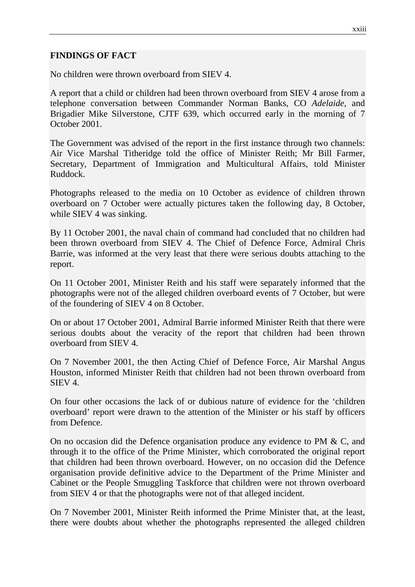#### **FINDINGS OF FACT**

No children were thrown overboard from SIEV 4.

A report that a child or children had been thrown overboard from SIEV 4 arose from a telephone conversation between Commander Norman Banks, CO *Adelaide*, and Brigadier Mike Silverstone, CJTF 639, which occurred early in the morning of 7 October 2001.

The Government was advised of the report in the first instance through two channels: Air Vice Marshal Titheridge told the office of Minister Reith; Mr Bill Farmer, Secretary, Department of Immigration and Multicultural Affairs, told Minister Ruddock.

Photographs released to the media on 10 October as evidence of children thrown overboard on 7 October were actually pictures taken the following day, 8 October, while SIEV 4 was sinking.

By 11 October 2001, the naval chain of command had concluded that no children had been thrown overboard from SIEV 4. The Chief of Defence Force, Admiral Chris Barrie, was informed at the very least that there were serious doubts attaching to the report.

On 11 October 2001, Minister Reith and his staff were separately informed that the photographs were not of the alleged children overboard events of 7 October, but were of the foundering of SIEV 4 on 8 October.

On or about 17 October 2001, Admiral Barrie informed Minister Reith that there were serious doubts about the veracity of the report that children had been thrown overboard from SIEV 4.

On 7 November 2001, the then Acting Chief of Defence Force, Air Marshal Angus Houston, informed Minister Reith that children had not been thrown overboard from SIEV 4.

On four other occasions the lack of or dubious nature of evidence for the 'children overboard' report were drawn to the attention of the Minister or his staff by officers from Defence.

On no occasion did the Defence organisation produce any evidence to PM & C, and through it to the office of the Prime Minister, which corroborated the original report that children had been thrown overboard. However, on no occasion did the Defence organisation provide definitive advice to the Department of the Prime Minister and Cabinet or the People Smuggling Taskforce that children were not thrown overboard from SIEV 4 or that the photographs were not of that alleged incident.

On 7 November 2001, Minister Reith informed the Prime Minister that, at the least, there were doubts about whether the photographs represented the alleged children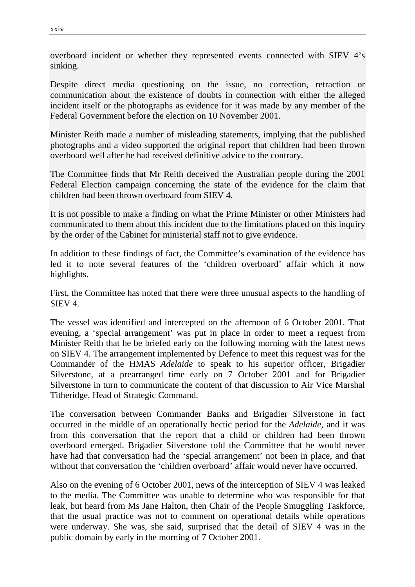overboard incident or whether they represented events connected with SIEV 4's sinking.

Despite direct media questioning on the issue, no correction, retraction or communication about the existence of doubts in connection with either the alleged incident itself or the photographs as evidence for it was made by any member of the Federal Government before the election on 10 November 2001.

Minister Reith made a number of misleading statements, implying that the published photographs and a video supported the original report that children had been thrown overboard well after he had received definitive advice to the contrary.

The Committee finds that Mr Reith deceived the Australian people during the 2001 Federal Election campaign concerning the state of the evidence for the claim that children had been thrown overboard from SIEV 4.

It is not possible to make a finding on what the Prime Minister or other Ministers had communicated to them about this incident due to the limitations placed on this inquiry by the order of the Cabinet for ministerial staff not to give evidence.

In addition to these findings of fact, the Committee's examination of the evidence has led it to note several features of the 'children overboard' affair which it now highlights.

First, the Committee has noted that there were three unusual aspects to the handling of SIEV 4.

The vessel was identified and intercepted on the afternoon of 6 October 2001. That evening, a 'special arrangement' was put in place in order to meet a request from Minister Reith that he be briefed early on the following morning with the latest news on SIEV 4. The arrangement implemented by Defence to meet this request was for the Commander of the HMAS *Adelaide* to speak to his superior officer, Brigadier Silverstone, at a prearranged time early on 7 October 2001 and for Brigadier Silverstone in turn to communicate the content of that discussion to Air Vice Marshal Titheridge, Head of Strategic Command.

The conversation between Commander Banks and Brigadier Silverstone in fact occurred in the middle of an operationally hectic period for the *Adelaide*, and it was from this conversation that the report that a child or children had been thrown overboard emerged. Brigadier Silverstone told the Committee that he would never have had that conversation had the 'special arrangement' not been in place, and that without that conversation the 'children overboard' affair would never have occurred.

Also on the evening of 6 October 2001, news of the interception of SIEV 4 was leaked to the media. The Committee was unable to determine who was responsible for that leak, but heard from Ms Jane Halton, then Chair of the People Smuggling Taskforce, that the usual practice was not to comment on operational details while operations were underway. She was, she said, surprised that the detail of SIEV 4 was in the public domain by early in the morning of 7 October 2001.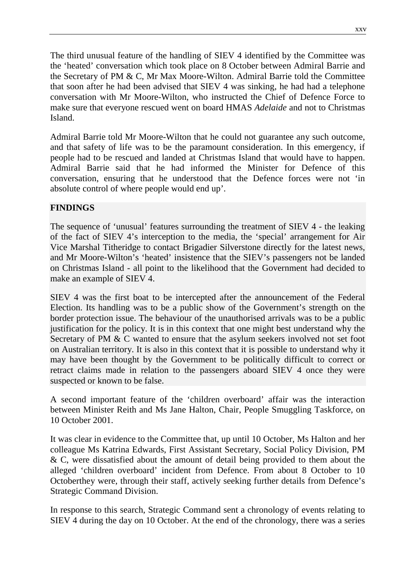The third unusual feature of the handling of SIEV 4 identified by the Committee was the 'heated' conversation which took place on 8 October between Admiral Barrie and the Secretary of PM & C, Mr Max Moore-Wilton. Admiral Barrie told the Committee that soon after he had been advised that SIEV 4 was sinking, he had had a telephone conversation with Mr Moore-Wilton, who instructed the Chief of Defence Force to make sure that everyone rescued went on board HMAS *Adelaide* and not to Christmas Island.

Admiral Barrie told Mr Moore-Wilton that he could not guarantee any such outcome, and that safety of life was to be the paramount consideration. In this emergency, if people had to be rescued and landed at Christmas Island that would have to happen. Admiral Barrie said that he had informed the Minister for Defence of this conversation, ensuring that he understood that the Defence forces were not 'in absolute control of where people would end up'.

#### **FINDINGS**

The sequence of 'unusual' features surrounding the treatment of SIEV 4 - the leaking of the fact of SIEV 4's interception to the media, the 'special' arrangement for Air Vice Marshal Titheridge to contact Brigadier Silverstone directly for the latest news, and Mr Moore-Wilton's 'heated' insistence that the SIEV's passengers not be landed on Christmas Island - all point to the likelihood that the Government had decided to make an example of SIEV 4.

SIEV 4 was the first boat to be intercepted after the announcement of the Federal Election. Its handling was to be a public show of the Government's strength on the border protection issue. The behaviour of the unauthorised arrivals was to be a public justification for the policy. It is in this context that one might best understand why the Secretary of PM & C wanted to ensure that the asylum seekers involved not set foot on Australian territory. It is also in this context that it is possible to understand why it may have been thought by the Government to be politically difficult to correct or retract claims made in relation to the passengers aboard SIEV 4 once they were suspected or known to be false.

A second important feature of the 'children overboard' affair was the interaction between Minister Reith and Ms Jane Halton, Chair, People Smuggling Taskforce, on 10 October 2001.

It was clear in evidence to the Committee that, up until 10 October, Ms Halton and her colleague Ms Katrina Edwards, First Assistant Secretary, Social Policy Division, PM & C, were dissatisfied about the amount of detail being provided to them about the alleged 'children overboard' incident from Defence. From about 8 October to 10 Octoberthey were, through their staff, actively seeking further details from Defence's Strategic Command Division.

In response to this search, Strategic Command sent a chronology of events relating to SIEV 4 during the day on 10 October. At the end of the chronology, there was a series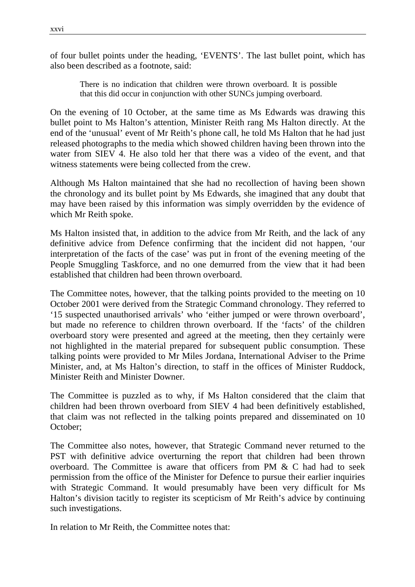of four bullet points under the heading, 'EVENTS'. The last bullet point, which has also been described as a footnote, said:

There is no indication that children were thrown overboard. It is possible that this did occur in conjunction with other SUNCs jumping overboard.

On the evening of 10 October, at the same time as Ms Edwards was drawing this bullet point to Ms Halton's attention, Minister Reith rang Ms Halton directly. At the end of the 'unusual' event of Mr Reith's phone call, he told Ms Halton that he had just released photographs to the media which showed children having been thrown into the water from SIEV 4. He also told her that there was a video of the event, and that witness statements were being collected from the crew.

Although Ms Halton maintained that she had no recollection of having been shown the chronology and its bullet point by Ms Edwards, she imagined that any doubt that may have been raised by this information was simply overridden by the evidence of which Mr Reith spoke.

Ms Halton insisted that, in addition to the advice from Mr Reith, and the lack of any definitive advice from Defence confirming that the incident did not happen, 'our interpretation of the facts of the case' was put in front of the evening meeting of the People Smuggling Taskforce, and no one demurred from the view that it had been established that children had been thrown overboard.

The Committee notes, however, that the talking points provided to the meeting on 10 October 2001 were derived from the Strategic Command chronology. They referred to '15 suspected unauthorised arrivals' who 'either jumped or were thrown overboard', but made no reference to children thrown overboard. If the 'facts' of the children overboard story were presented and agreed at the meeting, then they certainly were not highlighted in the material prepared for subsequent public consumption. These talking points were provided to Mr Miles Jordana, International Adviser to the Prime Minister, and, at Ms Halton's direction, to staff in the offices of Minister Ruddock, Minister Reith and Minister Downer.

The Committee is puzzled as to why, if Ms Halton considered that the claim that children had been thrown overboard from SIEV 4 had been definitively established, that claim was not reflected in the talking points prepared and disseminated on 10 October;

The Committee also notes, however, that Strategic Command never returned to the PST with definitive advice overturning the report that children had been thrown overboard. The Committee is aware that officers from PM & C had had to seek permission from the office of the Minister for Defence to pursue their earlier inquiries with Strategic Command. It would presumably have been very difficult for Ms Halton's division tacitly to register its scepticism of Mr Reith's advice by continuing such investigations.

In relation to Mr Reith, the Committee notes that: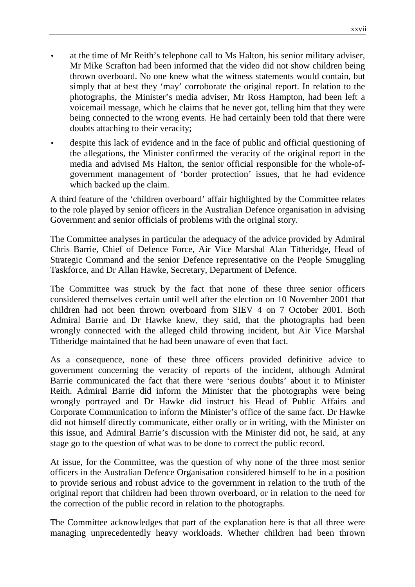- at the time of Mr Reith's telephone call to Ms Halton, his senior military adviser, Mr Mike Scrafton had been informed that the video did not show children being thrown overboard. No one knew what the witness statements would contain, but simply that at best they 'may' corroborate the original report. In relation to the photographs, the Minister's media adviser, Mr Ross Hampton, had been left a voicemail message, which he claims that he never got, telling him that they were being connected to the wrong events. He had certainly been told that there were doubts attaching to their veracity;
- despite this lack of evidence and in the face of public and official questioning of the allegations, the Minister confirmed the veracity of the original report in the media and advised Ms Halton, the senior official responsible for the whole-ofgovernment management of 'border protection' issues, that he had evidence which backed up the claim.

A third feature of the 'children overboard' affair highlighted by the Committee relates to the role played by senior officers in the Australian Defence organisation in advising Government and senior officials of problems with the original story.

The Committee analyses in particular the adequacy of the advice provided by Admiral Chris Barrie, Chief of Defence Force, Air Vice Marshal Alan Titheridge, Head of Strategic Command and the senior Defence representative on the People Smuggling Taskforce, and Dr Allan Hawke, Secretary, Department of Defence.

The Committee was struck by the fact that none of these three senior officers considered themselves certain until well after the election on 10 November 2001 that children had not been thrown overboard from SIEV 4 on 7 October 2001. Both Admiral Barrie and Dr Hawke knew, they said, that the photographs had been wrongly connected with the alleged child throwing incident, but Air Vice Marshal Titheridge maintained that he had been unaware of even that fact.

As a consequence, none of these three officers provided definitive advice to government concerning the veracity of reports of the incident, although Admiral Barrie communicated the fact that there were 'serious doubts' about it to Minister Reith. Admiral Barrie did inform the Minister that the photographs were being wrongly portrayed and Dr Hawke did instruct his Head of Public Affairs and Corporate Communication to inform the Minister's office of the same fact. Dr Hawke did not himself directly communicate, either orally or in writing, with the Minister on this issue, and Admiral Barrie's discussion with the Minister did not, he said, at any stage go to the question of what was to be done to correct the public record.

At issue, for the Committee, was the question of why none of the three most senior officers in the Australian Defence Organisation considered himself to be in a position to provide serious and robust advice to the government in relation to the truth of the original report that children had been thrown overboard, or in relation to the need for the correction of the public record in relation to the photographs.

The Committee acknowledges that part of the explanation here is that all three were managing unprecedentedly heavy workloads. Whether children had been thrown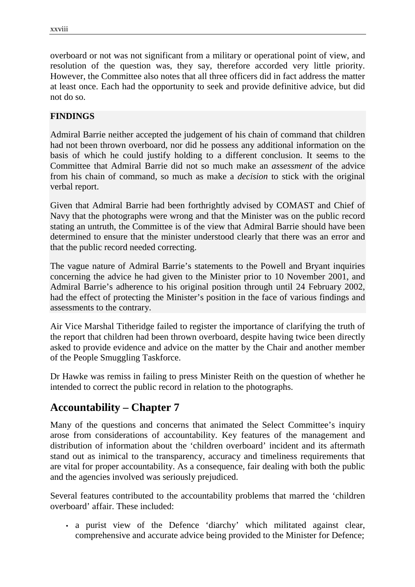overboard or not was not significant from a military or operational point of view, and resolution of the question was, they say, therefore accorded very little priority. However, the Committee also notes that all three officers did in fact address the matter at least once. Each had the opportunity to seek and provide definitive advice, but did not do so.

#### **FINDINGS**

Admiral Barrie neither accepted the judgement of his chain of command that children had not been thrown overboard, nor did he possess any additional information on the basis of which he could justify holding to a different conclusion. It seems to the Committee that Admiral Barrie did not so much make an *assessment* of the advice from his chain of command, so much as make a *decision* to stick with the original verbal report.

Given that Admiral Barrie had been forthrightly advised by COMAST and Chief of Navy that the photographs were wrong and that the Minister was on the public record stating an untruth, the Committee is of the view that Admiral Barrie should have been determined to ensure that the minister understood clearly that there was an error and that the public record needed correcting.

The vague nature of Admiral Barrie's statements to the Powell and Bryant inquiries concerning the advice he had given to the Minister prior to 10 November 2001, and Admiral Barrie's adherence to his original position through until 24 February 2002, had the effect of protecting the Minister's position in the face of various findings and assessments to the contrary.

Air Vice Marshal Titheridge failed to register the importance of clarifying the truth of the report that children had been thrown overboard, despite having twice been directly asked to provide evidence and advice on the matter by the Chair and another member of the People Smuggling Taskforce.

Dr Hawke was remiss in failing to press Minister Reith on the question of whether he intended to correct the public record in relation to the photographs.

## **Accountability – Chapter 7**

Many of the questions and concerns that animated the Select Committee's inquiry arose from considerations of accountability. Key features of the management and distribution of information about the 'children overboard' incident and its aftermath stand out as inimical to the transparency, accuracy and timeliness requirements that are vital for proper accountability. As a consequence, fair dealing with both the public and the agencies involved was seriously prejudiced.

Several features contributed to the accountability problems that marred the 'children overboard' affair. These included:

• a purist view of the Defence 'diarchy' which militated against clear, comprehensive and accurate advice being provided to the Minister for Defence;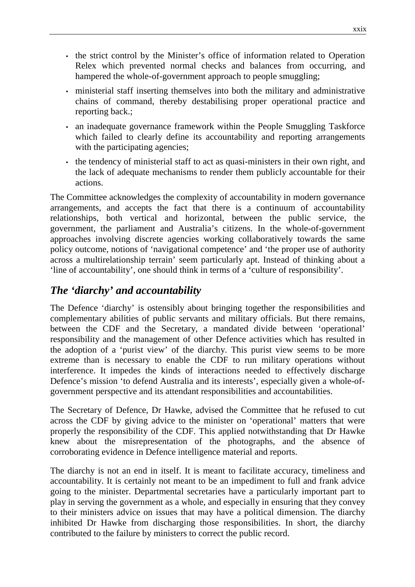- the strict control by the Minister's office of information related to Operation Relex which prevented normal checks and balances from occurring, and hampered the whole-of-government approach to people smuggling;
- ministerial staff inserting themselves into both the military and administrative chains of command, thereby destabilising proper operational practice and reporting back.;
- an inadequate governance framework within the People Smuggling Taskforce which failed to clearly define its accountability and reporting arrangements with the participating agencies;
- the tendency of ministerial staff to act as quasi-ministers in their own right, and the lack of adequate mechanisms to render them publicly accountable for their actions.

The Committee acknowledges the complexity of accountability in modern governance arrangements, and accepts the fact that there is a continuum of accountability relationships, both vertical and horizontal, between the public service, the government, the parliament and Australia's citizens. In the whole-of-government approaches involving discrete agencies working collaboratively towards the same policy outcome, notions of 'navigational competence' and 'the proper use of authority across a multirelationship terrain' seem particularly apt. Instead of thinking about a 'line of accountability', one should think in terms of a 'culture of responsibility'.

## *The 'diarchy' and accountability*

The Defence 'diarchy' is ostensibly about bringing together the responsibilities and complementary abilities of public servants and military officials. But there remains, between the CDF and the Secretary, a mandated divide between 'operational' responsibility and the management of other Defence activities which has resulted in the adoption of a 'purist view' of the diarchy. This purist view seems to be more extreme than is necessary to enable the CDF to run military operations without interference. It impedes the kinds of interactions needed to effectively discharge Defence's mission 'to defend Australia and its interests', especially given a whole-ofgovernment perspective and its attendant responsibilities and accountabilities.

The Secretary of Defence, Dr Hawke, advised the Committee that he refused to cut across the CDF by giving advice to the minister on 'operational' matters that were properly the responsibility of the CDF. This applied notwithstanding that Dr Hawke knew about the misrepresentation of the photographs, and the absence of corroborating evidence in Defence intelligence material and reports.

The diarchy is not an end in itself. It is meant to facilitate accuracy, timeliness and accountability. It is certainly not meant to be an impediment to full and frank advice going to the minister. Departmental secretaries have a particularly important part to play in serving the government as a whole, and especially in ensuring that they convey to their ministers advice on issues that may have a political dimension. The diarchy inhibited Dr Hawke from discharging those responsibilities. In short, the diarchy contributed to the failure by ministers to correct the public record.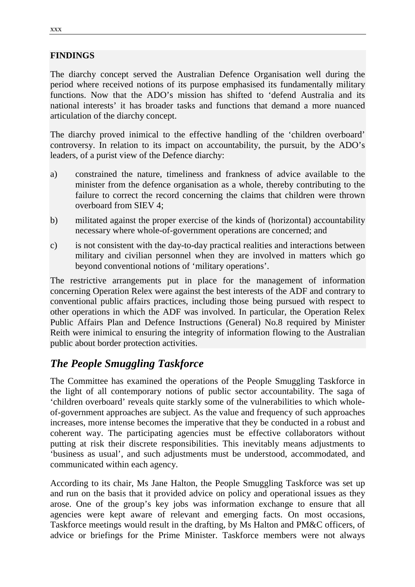#### **FINDINGS**

The diarchy concept served the Australian Defence Organisation well during the period where received notions of its purpose emphasised its fundamentally military functions. Now that the ADO's mission has shifted to 'defend Australia and its national interests' it has broader tasks and functions that demand a more nuanced articulation of the diarchy concept.

The diarchy proved inimical to the effective handling of the 'children overboard' controversy. In relation to its impact on accountability, the pursuit, by the ADO's leaders, of a purist view of the Defence diarchy:

- a) constrained the nature, timeliness and frankness of advice available to the minister from the defence organisation as a whole, thereby contributing to the failure to correct the record concerning the claims that children were thrown overboard from SIEV 4;
- b) militated against the proper exercise of the kinds of (horizontal) accountability necessary where whole-of-government operations are concerned; and
- c) is not consistent with the day-to-day practical realities and interactions between military and civilian personnel when they are involved in matters which go beyond conventional notions of 'military operations'.

The restrictive arrangements put in place for the management of information concerning Operation Relex were against the best interests of the ADF and contrary to conventional public affairs practices, including those being pursued with respect to other operations in which the ADF was involved. In particular, the Operation Relex Public Affairs Plan and Defence Instructions (General) No.8 required by Minister Reith were inimical to ensuring the integrity of information flowing to the Australian public about border protection activities.

## *The People Smuggling Taskforce*

The Committee has examined the operations of the People Smuggling Taskforce in the light of all contemporary notions of public sector accountability. The saga of 'children overboard' reveals quite starkly some of the vulnerabilities to which wholeof-government approaches are subject. As the value and frequency of such approaches increases, more intense becomes the imperative that they be conducted in a robust and coherent way. The participating agencies must be effective collaborators without putting at risk their discrete responsibilities. This inevitably means adjustments to 'business as usual', and such adjustments must be understood, accommodated, and communicated within each agency.

According to its chair, Ms Jane Halton, the People Smuggling Taskforce was set up and run on the basis that it provided advice on policy and operational issues as they arose. One of the group's key jobs was information exchange to ensure that all agencies were kept aware of relevant and emerging facts. On most occasions, Taskforce meetings would result in the drafting, by Ms Halton and PM&C officers, of advice or briefings for the Prime Minister. Taskforce members were not always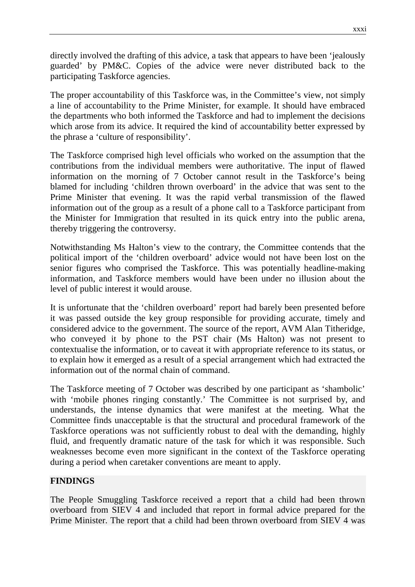directly involved the drafting of this advice, a task that appears to have been 'jealously guarded' by PM&C. Copies of the advice were never distributed back to the participating Taskforce agencies.

The proper accountability of this Taskforce was, in the Committee's view, not simply a line of accountability to the Prime Minister, for example. It should have embraced the departments who both informed the Taskforce and had to implement the decisions which arose from its advice. It required the kind of accountability better expressed by the phrase a 'culture of responsibility'.

The Taskforce comprised high level officials who worked on the assumption that the contributions from the individual members were authoritative. The input of flawed information on the morning of 7 October cannot result in the Taskforce's being blamed for including 'children thrown overboard' in the advice that was sent to the Prime Minister that evening. It was the rapid verbal transmission of the flawed information out of the group as a result of a phone call to a Taskforce participant from the Minister for Immigration that resulted in its quick entry into the public arena, thereby triggering the controversy.

Notwithstanding Ms Halton's view to the contrary, the Committee contends that the political import of the 'children overboard' advice would not have been lost on the senior figures who comprised the Taskforce. This was potentially headline-making information, and Taskforce members would have been under no illusion about the level of public interest it would arouse.

It is unfortunate that the 'children overboard' report had barely been presented before it was passed outside the key group responsible for providing accurate, timely and considered advice to the government. The source of the report, AVM Alan Titheridge, who conveyed it by phone to the PST chair (Ms Halton) was not present to contextualise the information, or to caveat it with appropriate reference to its status, or to explain how it emerged as a result of a special arrangement which had extracted the information out of the normal chain of command.

The Taskforce meeting of 7 October was described by one participant as 'shambolic' with 'mobile phones ringing constantly.' The Committee is not surprised by, and understands, the intense dynamics that were manifest at the meeting. What the Committee finds unacceptable is that the structural and procedural framework of the Taskforce operations was not sufficiently robust to deal with the demanding, highly fluid, and frequently dramatic nature of the task for which it was responsible. Such weaknesses become even more significant in the context of the Taskforce operating during a period when caretaker conventions are meant to apply.

#### **FINDINGS**

The People Smuggling Taskforce received a report that a child had been thrown overboard from SIEV 4 and included that report in formal advice prepared for the Prime Minister. The report that a child had been thrown overboard from SIEV 4 was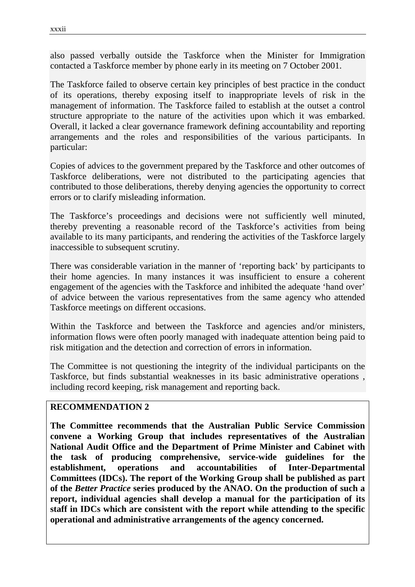also passed verbally outside the Taskforce when the Minister for Immigration contacted a Taskforce member by phone early in its meeting on 7 October 2001.

The Taskforce failed to observe certain key principles of best practice in the conduct of its operations, thereby exposing itself to inappropriate levels of risk in the management of information. The Taskforce failed to establish at the outset a control structure appropriate to the nature of the activities upon which it was embarked. Overall, it lacked a clear governance framework defining accountability and reporting arrangements and the roles and responsibilities of the various participants. In particular:

Copies of advices to the government prepared by the Taskforce and other outcomes of Taskforce deliberations, were not distributed to the participating agencies that contributed to those deliberations, thereby denying agencies the opportunity to correct errors or to clarify misleading information.

The Taskforce's proceedings and decisions were not sufficiently well minuted, thereby preventing a reasonable record of the Taskforce's activities from being available to its many participants, and rendering the activities of the Taskforce largely inaccessible to subsequent scrutiny.

There was considerable variation in the manner of 'reporting back' by participants to their home agencies. In many instances it was insufficient to ensure a coherent engagement of the agencies with the Taskforce and inhibited the adequate 'hand over' of advice between the various representatives from the same agency who attended Taskforce meetings on different occasions.

Within the Taskforce and between the Taskforce and agencies and/or ministers, information flows were often poorly managed with inadequate attention being paid to risk mitigation and the detection and correction of errors in information.

The Committee is not questioning the integrity of the individual participants on the Taskforce, but finds substantial weaknesses in its basic administrative operations , including record keeping, risk management and reporting back.

#### **RECOMMENDATION 2**

**The Committee recommends that the Australian Public Service Commission convene a Working Group that includes representatives of the Australian National Audit Office and the Department of Prime Minister and Cabinet with the task of producing comprehensive, service-wide guidelines for the establishment, operations and accountabilities of Inter-Departmental Committees (IDCs). The report of the Working Group shall be published as part of the** *Better Practice* **series produced by the ANAO. On the production of such a report, individual agencies shall develop a manual for the participation of its staff in IDCs which are consistent with the report while attending to the specific operational and administrative arrangements of the agency concerned.**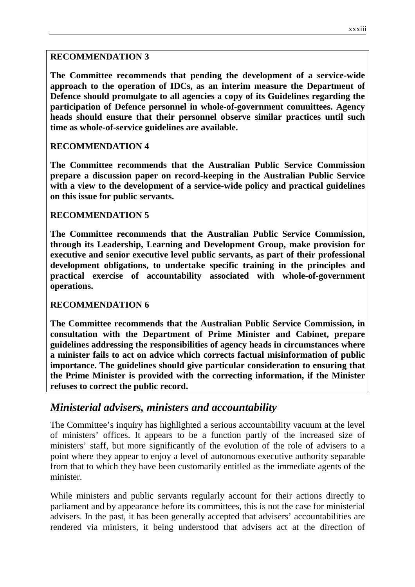#### **RECOMMENDATION 3**

**The Committee recommends that pending the development of a service-wide approach to the operation of IDCs, as an interim measure the Department of Defence should promulgate to all agencies a copy of its Guidelines regarding the participation of Defence personnel in whole-of-government committees. Agency heads should ensure that their personnel observe similar practices until such time as whole-of-service guidelines are available.**

#### **RECOMMENDATION 4**

**The Committee recommends that the Australian Public Service Commission prepare a discussion paper on record-keeping in the Australian Public Service with a view to the development of a service-wide policy and practical guidelines on this issue for public servants.**

#### **RECOMMENDATION 5**

**The Committee recommends that the Australian Public Service Commission, through its Leadership, Learning and Development Group, make provision for executive and senior executive level public servants, as part of their professional development obligations, to undertake specific training in the principles and practical exercise of accountability associated with whole-of-government operations.**

#### **RECOMMENDATION 6**

**The Committee recommends that the Australian Public Service Commission, in consultation with the Department of Prime Minister and Cabinet, prepare guidelines addressing the responsibilities of agency heads in circumstances where a minister fails to act on advice which corrects factual misinformation of public importance. The guidelines should give particular consideration to ensuring that the Prime Minister is provided with the correcting information, if the Minister refuses to correct the public record.**

### *Ministerial advisers, ministers and accountability*

The Committee's inquiry has highlighted a serious accountability vacuum at the level of ministers' offices. It appears to be a function partly of the increased size of ministers' staff, but more significantly of the evolution of the role of advisers to a point where they appear to enjoy a level of autonomous executive authority separable from that to which they have been customarily entitled as the immediate agents of the minister.

While ministers and public servants regularly account for their actions directly to parliament and by appearance before its committees, this is not the case for ministerial advisers. In the past, it has been generally accepted that advisers' accountabilities are rendered via ministers, it being understood that advisers act at the direction of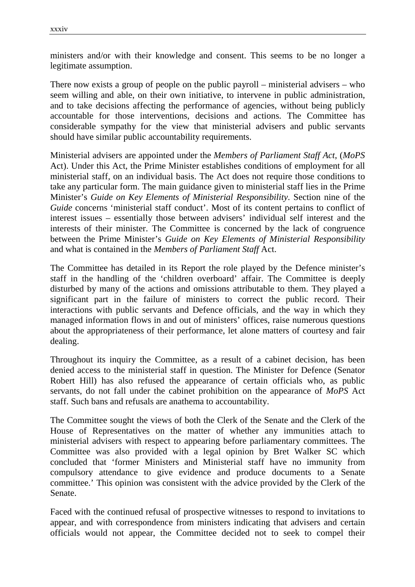ministers and/or with their knowledge and consent. This seems to be no longer a legitimate assumption.

There now exists a group of people on the public payroll – ministerial advisers – who seem willing and able, on their own initiative, to intervene in public administration, and to take decisions affecting the performance of agencies, without being publicly accountable for those interventions, decisions and actions. The Committee has considerable sympathy for the view that ministerial advisers and public servants should have similar public accountability requirements.

Ministerial advisers are appointed under the *Members of Parliament Staff Act*, (*MoPS* Act). Under this Act, the Prime Minister establishes conditions of employment for all ministerial staff, on an individual basis. The Act does not require those conditions to take any particular form. The main guidance given to ministerial staff lies in the Prime Minister's *Guide on Key Elements of Ministerial Responsibility*. Section nine of the *Guide* concerns 'ministerial staff conduct'. Most of its content pertains to conflict of interest issues – essentially those between advisers' individual self interest and the interests of their minister. The Committee is concerned by the lack of congruence between the Prime Minister's *Guide on Key Elements of Ministerial Responsibility* and what is contained in the *Members of Parliament Staff* Act.

The Committee has detailed in its Report the role played by the Defence minister's staff in the handling of the 'children overboard' affair. The Committee is deeply disturbed by many of the actions and omissions attributable to them. They played a significant part in the failure of ministers to correct the public record. Their interactions with public servants and Defence officials, and the way in which they managed information flows in and out of ministers' offices, raise numerous questions about the appropriateness of their performance, let alone matters of courtesy and fair dealing.

Throughout its inquiry the Committee, as a result of a cabinet decision, has been denied access to the ministerial staff in question. The Minister for Defence (Senator Robert Hill) has also refused the appearance of certain officials who, as public servants, do not fall under the cabinet prohibition on the appearance of *MoPS* Act staff. Such bans and refusals are anathema to accountability.

The Committee sought the views of both the Clerk of the Senate and the Clerk of the House of Representatives on the matter of whether any immunities attach to ministerial advisers with respect to appearing before parliamentary committees. The Committee was also provided with a legal opinion by Bret Walker SC which concluded that 'former Ministers and Ministerial staff have no immunity from compulsory attendance to give evidence and produce documents to a Senate committee.' This opinion was consistent with the advice provided by the Clerk of the Senate.

Faced with the continued refusal of prospective witnesses to respond to invitations to appear, and with correspondence from ministers indicating that advisers and certain officials would not appear, the Committee decided not to seek to compel their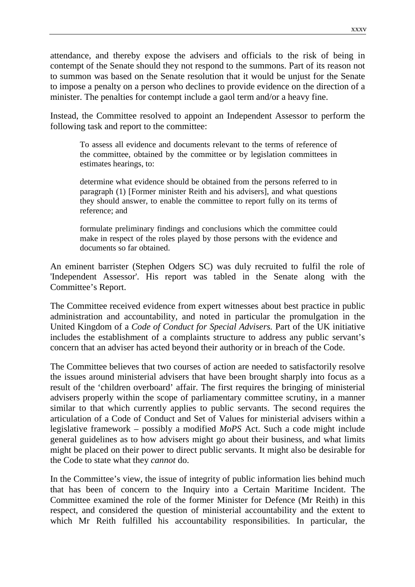attendance, and thereby expose the advisers and officials to the risk of being in contempt of the Senate should they not respond to the summons. Part of its reason not to summon was based on the Senate resolution that it would be unjust for the Senate to impose a penalty on a person who declines to provide evidence on the direction of a minister. The penalties for contempt include a gaol term and/or a heavy fine.

Instead, the Committee resolved to appoint an Independent Assessor to perform the following task and report to the committee:

To assess all evidence and documents relevant to the terms of reference of the committee, obtained by the committee or by legislation committees in estimates hearings, to:

determine what evidence should be obtained from the persons referred to in paragraph (1) [Former minister Reith and his advisers], and what questions they should answer, to enable the committee to report fully on its terms of reference; and

formulate preliminary findings and conclusions which the committee could make in respect of the roles played by those persons with the evidence and documents so far obtained.

An eminent barrister (Stephen Odgers SC) was duly recruited to fulfil the role of 'Independent Assessor'. His report was tabled in the Senate along with the Committee's Report.

The Committee received evidence from expert witnesses about best practice in public administration and accountability, and noted in particular the promulgation in the United Kingdom of a *Code of Conduct for Special Advisers.* Part of the UK initiative includes the establishment of a complaints structure to address any public servant's concern that an adviser has acted beyond their authority or in breach of the Code.

The Committee believes that two courses of action are needed to satisfactorily resolve the issues around ministerial advisers that have been brought sharply into focus as a result of the 'children overboard' affair. The first requires the bringing of ministerial advisers properly within the scope of parliamentary committee scrutiny, in a manner similar to that which currently applies to public servants. The second requires the articulation of a Code of Conduct and Set of Values for ministerial advisers within a legislative framework – possibly a modified *MoPS* Act. Such a code might include general guidelines as to how advisers might go about their business, and what limits might be placed on their power to direct public servants. It might also be desirable for the Code to state what they *cannot* do.

In the Committee's view, the issue of integrity of public information lies behind much that has been of concern to the Inquiry into a Certain Maritime Incident. The Committee examined the role of the former Minister for Defence (Mr Reith) in this respect, and considered the question of ministerial accountability and the extent to which Mr Reith fulfilled his accountability responsibilities. In particular, the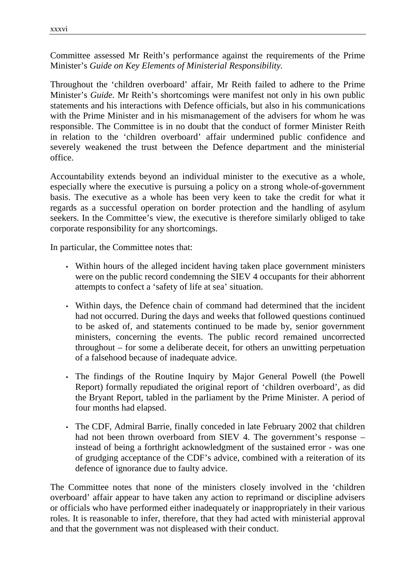Committee assessed Mr Reith's performance against the requirements of the Prime Minister's *Guide on Key Elements of Ministerial Responsibility.*

Throughout the 'children overboard' affair, Mr Reith failed to adhere to the Prime Minister's *Guide.* Mr Reith's shortcomings were manifest not only in his own public statements and his interactions with Defence officials, but also in his communications with the Prime Minister and in his mismanagement of the advisers for whom he was responsible. The Committee is in no doubt that the conduct of former Minister Reith in relation to the 'children overboard' affair undermined public confidence and severely weakened the trust between the Defence department and the ministerial office.

Accountability extends beyond an individual minister to the executive as a whole, especially where the executive is pursuing a policy on a strong whole-of-government basis. The executive as a whole has been very keen to take the credit for what it regards as a successful operation on border protection and the handling of asylum seekers. In the Committee's view, the executive is therefore similarly obliged to take corporate responsibility for any shortcomings.

In particular, the Committee notes that:

- Within hours of the alleged incident having taken place government ministers were on the public record condemning the SIEV 4 occupants for their abhorrent attempts to confect a 'safety of life at sea' situation.
- Within days, the Defence chain of command had determined that the incident had not occurred. During the days and weeks that followed questions continued to be asked of, and statements continued to be made by, senior government ministers, concerning the events. The public record remained uncorrected throughout – for some a deliberate deceit, for others an unwitting perpetuation of a falsehood because of inadequate advice.
- The findings of the Routine Inquiry by Major General Powell (the Powell Report) formally repudiated the original report of 'children overboard', as did the Bryant Report, tabled in the parliament by the Prime Minister. A period of four months had elapsed.
- The CDF, Admiral Barrie, finally conceded in late February 2002 that children had not been thrown overboard from SIEV 4. The government's response – instead of being a forthright acknowledgment of the sustained error - was one of grudging acceptance of the CDF's advice, combined with a reiteration of its defence of ignorance due to faulty advice.

The Committee notes that none of the ministers closely involved in the 'children overboard' affair appear to have taken any action to reprimand or discipline advisers or officials who have performed either inadequately or inappropriately in their various roles. It is reasonable to infer, therefore, that they had acted with ministerial approval and that the government was not displeased with their conduct.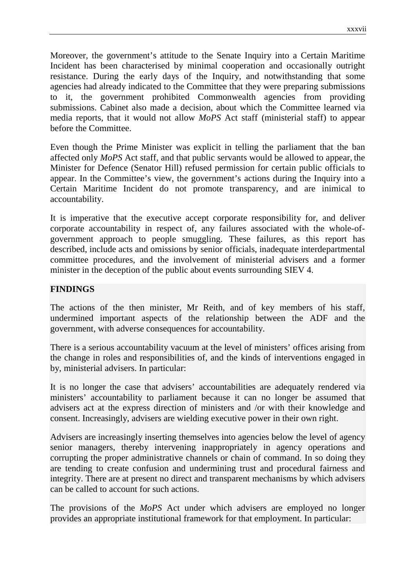Moreover, the government's attitude to the Senate Inquiry into a Certain Maritime Incident has been characterised by minimal cooperation and occasionally outright resistance. During the early days of the Inquiry, and notwithstanding that some agencies had already indicated to the Committee that they were preparing submissions to it, the government prohibited Commonwealth agencies from providing submissions. Cabinet also made a decision, about which the Committee learned via media reports, that it would not allow *MoPS* Act staff (ministerial staff) to appear before the Committee.

Even though the Prime Minister was explicit in telling the parliament that the ban affected only *MoPS* Act staff, and that public servants would be allowed to appear, the Minister for Defence (Senator Hill) refused permission for certain public officials to appear. In the Committee's view, the government's actions during the Inquiry into a Certain Maritime Incident do not promote transparency, and are inimical to accountability.

It is imperative that the executive accept corporate responsibility for, and deliver corporate accountability in respect of, any failures associated with the whole-ofgovernment approach to people smuggling. These failures, as this report has described, include acts and omissions by senior officials, inadequate interdepartmental committee procedures, and the involvement of ministerial advisers and a former minister in the deception of the public about events surrounding SIEV 4.

#### **FINDINGS**

The actions of the then minister, Mr Reith, and of key members of his staff, undermined important aspects of the relationship between the ADF and the government, with adverse consequences for accountability.

There is a serious accountability vacuum at the level of ministers' offices arising from the change in roles and responsibilities of, and the kinds of interventions engaged in by, ministerial advisers. In particular:

It is no longer the case that advisers' accountabilities are adequately rendered via ministers' accountability to parliament because it can no longer be assumed that advisers act at the express direction of ministers and /or with their knowledge and consent. Increasingly, advisers are wielding executive power in their own right.

Advisers are increasingly inserting themselves into agencies below the level of agency senior managers, thereby intervening inappropriately in agency operations and corrupting the proper administrative channels or chain of command. In so doing they are tending to create confusion and undermining trust and procedural fairness and integrity. There are at present no direct and transparent mechanisms by which advisers can be called to account for such actions.

The provisions of the *MoPS* Act under which advisers are employed no longer provides an appropriate institutional framework for that employment. In particular: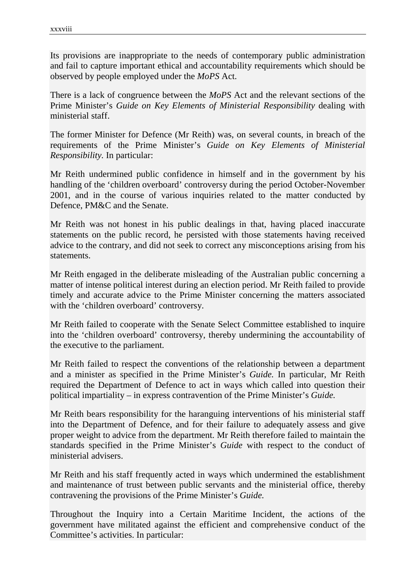Its provisions are inappropriate to the needs of contemporary public administration and fail to capture important ethical and accountability requirements which should be observed by people employed under the *MoPS* Act.

There is a lack of congruence between the *MoPS* Act and the relevant sections of the Prime Minister's *Guide on Key Elements of Ministerial Responsibility* dealing with ministerial staff.

The former Minister for Defence (Mr Reith) was, on several counts, in breach of the requirements of the Prime Minister's *Guide on Key Elements of Ministerial Responsibility.* In particular:

Mr Reith undermined public confidence in himself and in the government by his handling of the 'children overboard' controversy during the period October-November 2001, and in the course of various inquiries related to the matter conducted by Defence, PM&C and the Senate.

Mr Reith was not honest in his public dealings in that, having placed inaccurate statements on the public record, he persisted with those statements having received advice to the contrary, and did not seek to correct any misconceptions arising from his statements.

Mr Reith engaged in the deliberate misleading of the Australian public concerning a matter of intense political interest during an election period. Mr Reith failed to provide timely and accurate advice to the Prime Minister concerning the matters associated with the 'children overboard' controversy.

Mr Reith failed to cooperate with the Senate Select Committee established to inquire into the 'children overboard' controversy, thereby undermining the accountability of the executive to the parliament.

Mr Reith failed to respect the conventions of the relationship between a department and a minister as specified in the Prime Minister's *Guide.* In particular, Mr Reith required the Department of Defence to act in ways which called into question their political impartiality – in express contravention of the Prime Minister's *Guide.*

Mr Reith bears responsibility for the haranguing interventions of his ministerial staff into the Department of Defence, and for their failure to adequately assess and give proper weight to advice from the department. Mr Reith therefore failed to maintain the standards specified in the Prime Minister's *Guide* with respect to the conduct of ministerial advisers.

Mr Reith and his staff frequently acted in ways which undermined the establishment and maintenance of trust between public servants and the ministerial office, thereby contravening the provisions of the Prime Minister's *Guide.*

Throughout the Inquiry into a Certain Maritime Incident, the actions of the government have militated against the efficient and comprehensive conduct of the Committee's activities. In particular: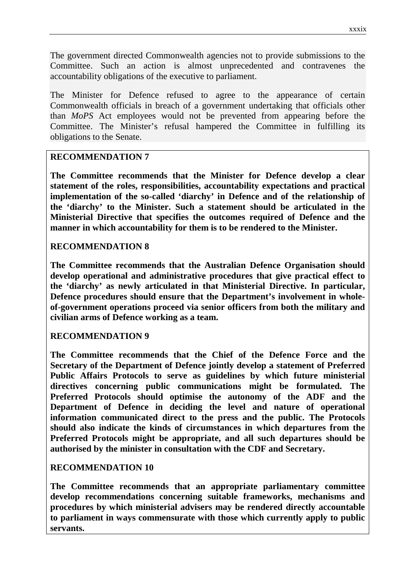The government directed Commonwealth agencies not to provide submissions to the Committee. Such an action is almost unprecedented and contravenes the accountability obligations of the executive to parliament.

The Minister for Defence refused to agree to the appearance of certain Commonwealth officials in breach of a government undertaking that officials other than *MoPS* Act employees would not be prevented from appearing before the Committee. The Minister's refusal hampered the Committee in fulfilling its obligations to the Senate.

#### **RECOMMENDATION 7**

**The Committee recommends that the Minister for Defence develop a clear statement of the roles, responsibilities, accountability expectations and practical implementation of the so-called 'diarchy' in Defence and of the relationship of the 'diarchy' to the Minister. Such a statement should be articulated in the Ministerial Directive that specifies the outcomes required of Defence and the manner in which accountability for them is to be rendered to the Minister.**

#### **RECOMMENDATION 8**

**The Committee recommends that the Australian Defence Organisation should develop operational and administrative procedures that give practical effect to the 'diarchy' as newly articulated in that Ministerial Directive. In particular, Defence procedures should ensure that the Department's involvement in wholeof-government operations proceed via senior officers from both the military and civilian arms of Defence working as a team.**

#### **RECOMMENDATION 9**

**The Committee recommends that the Chief of the Defence Force and the Secretary of the Department of Defence jointly develop a statement of Preferred Public Affairs Protocols to serve as guidelines by which future ministerial directives concerning public communications might be formulated. The Preferred Protocols should optimise the autonomy of the ADF and the Department of Defence in deciding the level and nature of operational information communicated direct to the press and the public. The Protocols should also indicate the kinds of circumstances in which departures from the Preferred Protocols might be appropriate, and all such departures should be authorised by the minister in consultation with the CDF and Secretary.**

#### **RECOMMENDATION 10**

**The Committee recommends that an appropriate parliamentary committee develop recommendations concerning suitable frameworks, mechanisms and procedures by which ministerial advisers may be rendered directly accountable to parliament in ways commensurate with those which currently apply to public servants.**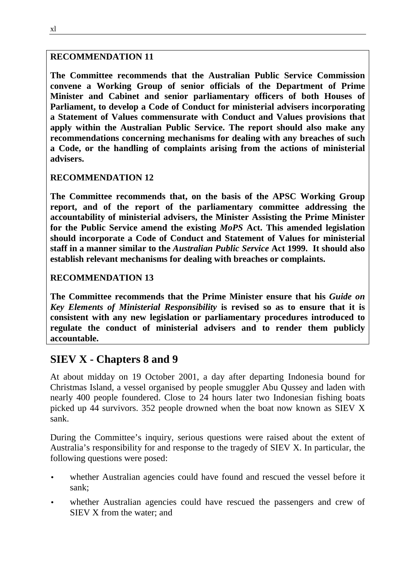#### **RECOMMENDATION 11**

**The Committee recommends that the Australian Public Service Commission convene a Working Group of senior officials of the Department of Prime Minister and Cabinet and senior parliamentary officers of both Houses of Parliament, to develop a Code of Conduct for ministerial advisers incorporating a Statement of Values commensurate with Conduct and Values provisions that apply within the Australian Public Service. The report should also make any recommendations concerning mechanisms for dealing with any breaches of such a Code, or the handling of complaints arising from the actions of ministerial advisers.**

#### **RECOMMENDATION 12**

**The Committee recommends that, on the basis of the APSC Working Group report, and of the report of the parliamentary committee addressing the accountability of ministerial advisers, the Minister Assisting the Prime Minister for the Public Service amend the existing** *MoPS* **Act. This amended legislation should incorporate a Code of Conduct and Statement of Values for ministerial staff in a manner similar to the** *Australian Public Service* **Act 1999. It should also establish relevant mechanisms for dealing with breaches or complaints.**

#### **RECOMMENDATION 13**

**The Committee recommends that the Prime Minister ensure that his** *Guide on Key Elements of Ministerial Responsibility* **is revised so as to ensure that it is consistent with any new legislation or parliamentary procedures introduced to regulate the conduct of ministerial advisers and to render them publicly accountable.**

### **SIEV X - Chapters 8 and 9**

At about midday on 19 October 2001, a day after departing Indonesia bound for Christmas Island, a vessel organised by people smuggler Abu Qussey and laden with nearly 400 people foundered. Close to 24 hours later two Indonesian fishing boats picked up 44 survivors. 352 people drowned when the boat now known as SIEV X sank.

During the Committee's inquiry, serious questions were raised about the extent of Australia's responsibility for and response to the tragedy of SIEV X. In particular, the following questions were posed:

- whether Australian agencies could have found and rescued the vessel before it sank;
- whether Australian agencies could have rescued the passengers and crew of SIEV X from the water; and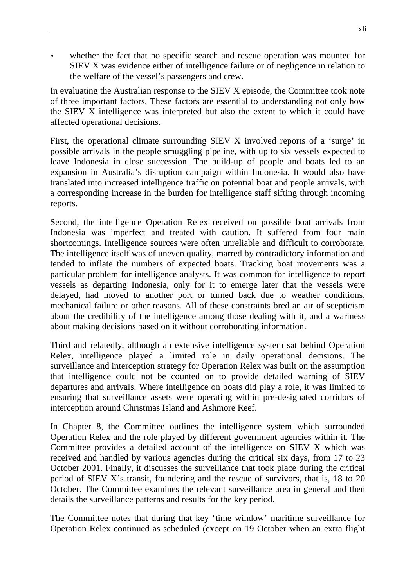whether the fact that no specific search and rescue operation was mounted for SIEV X was evidence either of intelligence failure or of negligence in relation to the welfare of the vessel's passengers and crew.

In evaluating the Australian response to the SIEV X episode, the Committee took note of three important factors. These factors are essential to understanding not only how the SIEV X intelligence was interpreted but also the extent to which it could have affected operational decisions.

First, the operational climate surrounding SIEV X involved reports of a 'surge' in possible arrivals in the people smuggling pipeline, with up to six vessels expected to leave Indonesia in close succession. The build-up of people and boats led to an expansion in Australia's disruption campaign within Indonesia. It would also have translated into increased intelligence traffic on potential boat and people arrivals, with a corresponding increase in the burden for intelligence staff sifting through incoming reports.

Second, the intelligence Operation Relex received on possible boat arrivals from Indonesia was imperfect and treated with caution. It suffered from four main shortcomings. Intelligence sources were often unreliable and difficult to corroborate. The intelligence itself was of uneven quality, marred by contradictory information and tended to inflate the numbers of expected boats. Tracking boat movements was a particular problem for intelligence analysts. It was common for intelligence to report vessels as departing Indonesia, only for it to emerge later that the vessels were delayed, had moved to another port or turned back due to weather conditions, mechanical failure or other reasons. All of these constraints bred an air of scepticism about the credibility of the intelligence among those dealing with it, and a wariness about making decisions based on it without corroborating information.

Third and relatedly, although an extensive intelligence system sat behind Operation Relex, intelligence played a limited role in daily operational decisions. The surveillance and interception strategy for Operation Relex was built on the assumption that intelligence could not be counted on to provide detailed warning of SIEV departures and arrivals. Where intelligence on boats did play a role, it was limited to ensuring that surveillance assets were operating within pre-designated corridors of interception around Christmas Island and Ashmore Reef.

In Chapter 8, the Committee outlines the intelligence system which surrounded Operation Relex and the role played by different government agencies within it. The Committee provides a detailed account of the intelligence on SIEV X which was received and handled by various agencies during the critical six days, from 17 to 23 October 2001. Finally, it discusses the surveillance that took place during the critical period of SIEV X's transit, foundering and the rescue of survivors, that is, 18 to 20 October. The Committee examines the relevant surveillance area in general and then details the surveillance patterns and results for the key period.

The Committee notes that during that key 'time window' maritime surveillance for Operation Relex continued as scheduled (except on 19 October when an extra flight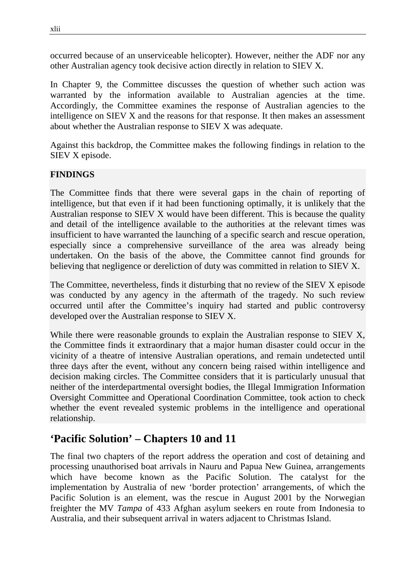occurred because of an unserviceable helicopter). However, neither the ADF nor any other Australian agency took decisive action directly in relation to SIEV X.

In Chapter 9, the Committee discusses the question of whether such action was warranted by the information available to Australian agencies at the time. Accordingly, the Committee examines the response of Australian agencies to the intelligence on SIEV X and the reasons for that response. It then makes an assessment about whether the Australian response to SIEV X was adequate.

Against this backdrop, the Committee makes the following findings in relation to the SIEV X episode.

#### **FINDINGS**

The Committee finds that there were several gaps in the chain of reporting of intelligence, but that even if it had been functioning optimally, it is unlikely that the Australian response to SIEV X would have been different. This is because the quality and detail of the intelligence available to the authorities at the relevant times was insufficient to have warranted the launching of a specific search and rescue operation, especially since a comprehensive surveillance of the area was already being undertaken. On the basis of the above, the Committee cannot find grounds for believing that negligence or dereliction of duty was committed in relation to SIEV X.

The Committee, nevertheless, finds it disturbing that no review of the SIEV X episode was conducted by any agency in the aftermath of the tragedy. No such review occurred until after the Committee's inquiry had started and public controversy developed over the Australian response to SIEV X.

While there were reasonable grounds to explain the Australian response to SIEV X, the Committee finds it extraordinary that a major human disaster could occur in the vicinity of a theatre of intensive Australian operations, and remain undetected until three days after the event, without any concern being raised within intelligence and decision making circles. The Committee considers that it is particularly unusual that neither of the interdepartmental oversight bodies, the Illegal Immigration Information Oversight Committee and Operational Coordination Committee, took action to check whether the event revealed systemic problems in the intelligence and operational relationship.

### **'Pacific Solution' – Chapters 10 and 11**

The final two chapters of the report address the operation and cost of detaining and processing unauthorised boat arrivals in Nauru and Papua New Guinea, arrangements which have become known as the Pacific Solution. The catalyst for the implementation by Australia of new 'border protection' arrangements, of which the Pacific Solution is an element, was the rescue in August 2001 by the Norwegian freighter the MV *Tampa* of 433 Afghan asylum seekers en route from Indonesia to Australia, and their subsequent arrival in waters adjacent to Christmas Island.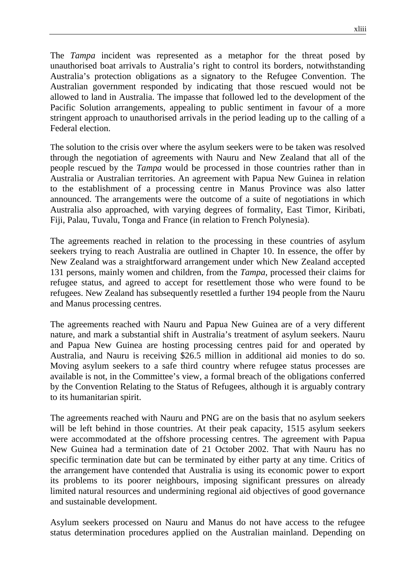The *Tampa* incident was represented as a metaphor for the threat posed by unauthorised boat arrivals to Australia's right to control its borders, notwithstanding Australia's protection obligations as a signatory to the Refugee Convention. The Australian government responded by indicating that those rescued would not be allowed to land in Australia. The impasse that followed led to the development of the Pacific Solution arrangements, appealing to public sentiment in favour of a more stringent approach to unauthorised arrivals in the period leading up to the calling of a Federal election.

The solution to the crisis over where the asylum seekers were to be taken was resolved through the negotiation of agreements with Nauru and New Zealand that all of the people rescued by the *Tampa* would be processed in those countries rather than in Australia or Australian territories. An agreement with Papua New Guinea in relation to the establishment of a processing centre in Manus Province was also latter announced. The arrangements were the outcome of a suite of negotiations in which Australia also approached, with varying degrees of formality, East Timor, Kiribati, Fiji, Palau, Tuvalu, Tonga and France (in relation to French Polynesia).

The agreements reached in relation to the processing in these countries of asylum seekers trying to reach Australia are outlined in Chapter 10. In essence, the offer by New Zealand was a straightforward arrangement under which New Zealand accepted 131 persons, mainly women and children, from the *Tampa*, processed their claims for refugee status, and agreed to accept for resettlement those who were found to be refugees. New Zealand has subsequently resettled a further 194 people from the Nauru and Manus processing centres.

The agreements reached with Nauru and Papua New Guinea are of a very different nature, and mark a substantial shift in Australia's treatment of asylum seekers. Nauru and Papua New Guinea are hosting processing centres paid for and operated by Australia, and Nauru is receiving \$26.5 million in additional aid monies to do so. Moving asylum seekers to a safe third country where refugee status processes are available is not, in the Committee's view, a formal breach of the obligations conferred by the Convention Relating to the Status of Refugees, although it is arguably contrary to its humanitarian spirit.

The agreements reached with Nauru and PNG are on the basis that no asylum seekers will be left behind in those countries. At their peak capacity, 1515 asylum seekers were accommodated at the offshore processing centres. The agreement with Papua New Guinea had a termination date of 21 October 2002. That with Nauru has no specific termination date but can be terminated by either party at any time. Critics of the arrangement have contended that Australia is using its economic power to export its problems to its poorer neighbours, imposing significant pressures on already limited natural resources and undermining regional aid objectives of good governance and sustainable development.

Asylum seekers processed on Nauru and Manus do not have access to the refugee status determination procedures applied on the Australian mainland. Depending on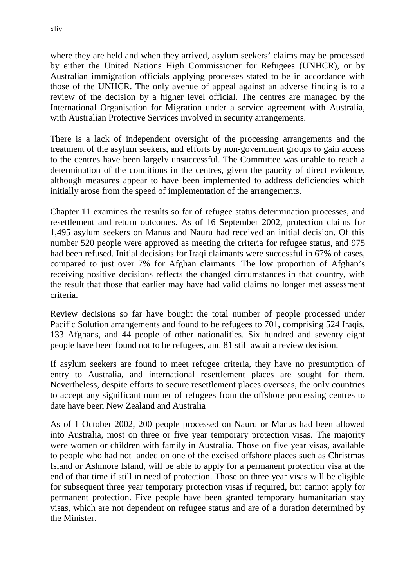where they are held and when they arrived, asylum seekers' claims may be processed by either the United Nations High Commissioner for Refugees (UNHCR), or by Australian immigration officials applying processes stated to be in accordance with those of the UNHCR. The only avenue of appeal against an adverse finding is to a review of the decision by a higher level official. The centres are managed by the International Organisation for Migration under a service agreement with Australia, with Australian Protective Services involved in security arrangements.

There is a lack of independent oversight of the processing arrangements and the treatment of the asylum seekers, and efforts by non-government groups to gain access to the centres have been largely unsuccessful. The Committee was unable to reach a determination of the conditions in the centres, given the paucity of direct evidence, although measures appear to have been implemented to address deficiencies which initially arose from the speed of implementation of the arrangements.

Chapter 11 examines the results so far of refugee status determination processes, and resettlement and return outcomes. As of 16 September 2002, protection claims for 1,495 asylum seekers on Manus and Nauru had received an initial decision. Of this number 520 people were approved as meeting the criteria for refugee status, and 975 had been refused. Initial decisions for Iraqi claimants were successful in 67% of cases, compared to just over 7% for Afghan claimants. The low proportion of Afghan's receiving positive decisions reflects the changed circumstances in that country, with the result that those that earlier may have had valid claims no longer met assessment criteria.

Review decisions so far have bought the total number of people processed under Pacific Solution arrangements and found to be refugees to 701, comprising 524 Iraqis, 133 Afghans, and 44 people of other nationalities. Six hundred and seventy eight people have been found not to be refugees, and 81 still await a review decision.

If asylum seekers are found to meet refugee criteria, they have no presumption of entry to Australia, and international resettlement places are sought for them. Nevertheless, despite efforts to secure resettlement places overseas, the only countries to accept any significant number of refugees from the offshore processing centres to date have been New Zealand and Australia

As of 1 October 2002, 200 people processed on Nauru or Manus had been allowed into Australia, most on three or five year temporary protection visas. The majority were women or children with family in Australia. Those on five year visas, available to people who had not landed on one of the excised offshore places such as Christmas Island or Ashmore Island, will be able to apply for a permanent protection visa at the end of that time if still in need of protection. Those on three year visas will be eligible for subsequent three year temporary protection visas if required, but cannot apply for permanent protection. Five people have been granted temporary humanitarian stay visas, which are not dependent on refugee status and are of a duration determined by the Minister.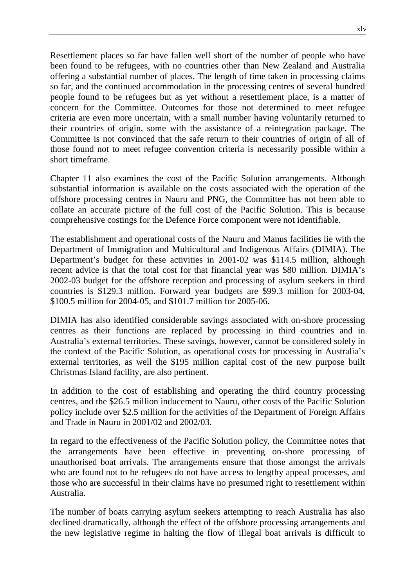Resettlement places so far have fallen well short of the number of people who have been found to be refugees, with no countries other than New Zealand and Australia offering a substantial number of places. The length of time taken in processing claims so far, and the continued accommodation in the processing centres of several hundred people found to be refugees but as yet without a resettlement place, is a matter of concern for the Committee. Outcomes for those not determined to meet refugee criteria are even more uncertain, with a small number having voluntarily returned to their countries of origin, some with the assistance of a reintegration package. The Committee is not convinced that the safe return to their countries of origin of all of those found not to meet refugee convention criteria is necessarily possible within a short timeframe.

Chapter 11 also examines the cost of the Pacific Solution arrangements. Although substantial information is available on the costs associated with the operation of the offshore processing centres in Nauru and PNG, the Committee has not been able to collate an accurate picture of the full cost of the Pacific Solution. This is because comprehensive costings for the Defence Force component were not identifiable.

The establishment and operational costs of the Nauru and Manus facilities lie with the Department of Immigration and Multicultural and Indigenous Affairs (DIMIA). The Department's budget for these activities in 2001-02 was \$114.5 million, although recent advice is that the total cost for that financial year was \$80 million. DIMIA's 2002-03 budget for the offshore reception and processing of asylum seekers in third countries is \$129.3 million. Forward year budgets are \$99.3 million for 2003-04, \$100.5 million for 2004-05, and \$101.7 million for 2005-06.

DIMIA has also identified considerable savings associated with on-shore processing centres as their functions are replaced by processing in third countries and in Australia's external territories. These savings, however, cannot be considered solely in the context of the Pacific Solution, as operational costs for processing in Australia's external territories, as well the \$195 million capital cost of the new purpose built Christmas Island facility, are also pertinent.

In addition to the cost of establishing and operating the third country processing centres, and the \$26.5 million inducement to Nauru, other costs of the Pacific Solution policy include over \$2.5 million for the activities of the Department of Foreign Affairs and Trade in Nauru in 2001/02 and 2002/03.

In regard to the effectiveness of the Pacific Solution policy, the Committee notes that the arrangements have been effective in preventing on-shore processing of unauthorised boat arrivals. The arrangements ensure that those amongst the arrivals who are found not to be refugees do not have access to lengthy appeal processes, and those who are successful in their claims have no presumed right to resettlement within Australia.

The number of boats carrying asylum seekers attempting to reach Australia has also declined dramatically, although the effect of the offshore processing arrangements and the new legislative regime in halting the flow of illegal boat arrivals is difficult to